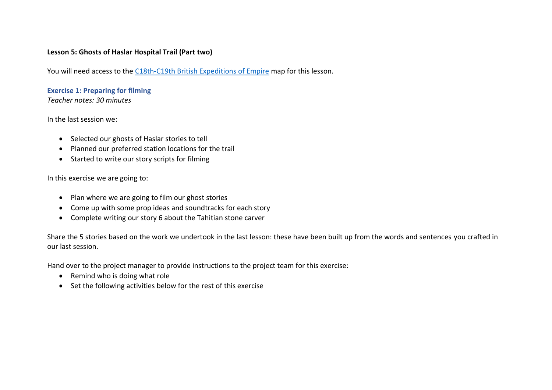## **Lesson 5: Ghosts of Haslar Hospital Trail (Part two)**

You will need access to the [C18th-C19th British Expeditions of Empire](https://the-earth-museum.maps.arcgis.com/apps/webappviewer/index.html?id=f6674a9d9f9347acb2eb0986a94f3c9f) map for this lesson.

**Exercise 1: Preparing for filming**

*Teacher notes: 30 minutes*

In the last session we:

- Selected our ghosts of Haslar stories to tell
- Planned our preferred station locations for the trail
- Started to write our story scripts for filming

In this exercise we are going to:

- Plan where we are going to film our ghost stories
- Come up with some prop ideas and soundtracks for each story
- Complete writing our story 6 about the Tahitian stone carver

Share the 5 stories based on the work we undertook in the last lesson: these have been built up from the words and sentences you crafted in our last session.

Hand over to the project manager to provide instructions to the project team for this exercise:

- Remind who is doing what role
- Set the following activities below for the rest of this exercise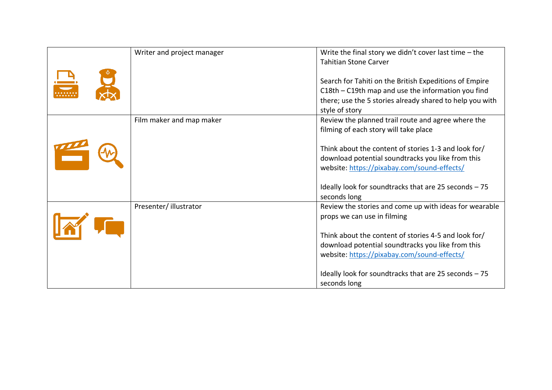| Writer and project manager | Write the final story we didn't cover last time $-$ the<br><b>Tahitian Stone Carver</b>                                                                                                                                                                                                                                      |
|----------------------------|------------------------------------------------------------------------------------------------------------------------------------------------------------------------------------------------------------------------------------------------------------------------------------------------------------------------------|
|                            | Search for Tahiti on the British Expeditions of Empire<br>C18th - C19th map and use the information you find<br>there; use the 5 stories already shared to help you with<br>style of story                                                                                                                                   |
| Film maker and map maker   | Review the planned trail route and agree where the<br>filming of each story will take place                                                                                                                                                                                                                                  |
|                            | Think about the content of stories 1-3 and look for/<br>download potential soundtracks you like from this<br>website: https://pixabay.com/sound-effects/<br>Ideally look for sound tracks that are 25 seconds $-75$<br>seconds long                                                                                          |
| Presenter/illustrator      | Review the stories and come up with ideas for wearable<br>props we can use in filming<br>Think about the content of stories 4-5 and look for/<br>download potential soundtracks you like from this<br>website: https://pixabay.com/sound-effects/<br>Ideally look for sound tracks that are 25 seconds $-75$<br>seconds long |